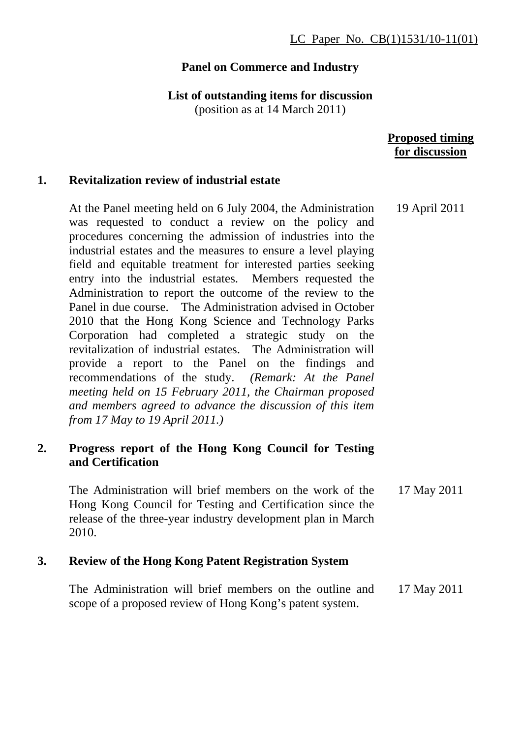# **Panel on Commerce and Industry**

**List of outstanding items for discussion** 

(position as at 14 March 2011)

## **Proposed timing for discussion**

## **1. Revitalization review of industrial estate**

At the Panel meeting held on 6 July 2004, the Administration was requested to conduct a review on the policy and procedures concerning the admission of industries into the industrial estates and the measures to ensure a level playing field and equitable treatment for interested parties seeking entry into the industrial estates. Members requested the Administration to report the outcome of the review to the Panel in due course. The Administration advised in October 2010 that the Hong Kong Science and Technology Parks Corporation had completed a strategic study on the revitalization of industrial estates. The Administration will provide a report to the Panel on the findings and recommendations of the study. *(Remark: At the Panel meeting held on 15 February 2011, the Chairman proposed and members agreed to advance the discussion of this item from 17 May to 19 April 2011.)* 19 April 2011

## **2. Progress report of the Hong Kong Council for Testing and Certification**

The Administration will brief members on the work of the Hong Kong Council for Testing and Certification since the release of the three-year industry development plan in March 2010. 17 May 2011

# **3. Review of the Hong Kong Patent Registration System**

The Administration will brief members on the outline and scope of a proposed review of Hong Kong's patent system. 17 May 2011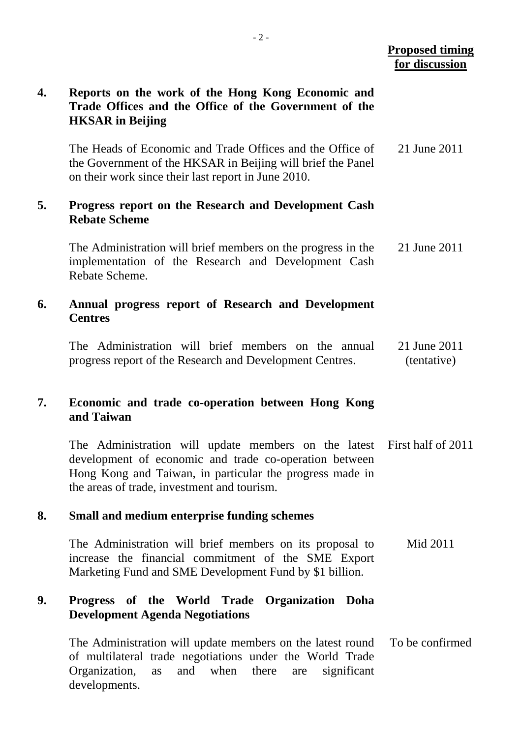### **Proposed timing for discussion**

# **4. Reports on the work of the Hong Kong Economic and Trade Offices and the Office of the Government of the HKSAR in Beijing**  The Heads of Economic and Trade Offices and the Office of the Government of the HKSAR in Beijing will brief the Panel on their work since their last report in June 2010. 21 June 2011 **5. Progress report on the Research and Development Cash Rebate Scheme**  The Administration will brief members on the progress in the implementation of the Research and Development Cash Rebate Scheme. 21 June 2011 **6. Annual progress report of Research and Development Centres**  The Administration will brief members on the annual progress report of the Research and Development Centres. 21 June 2011 (tentative) **7. Economic and trade co-operation between Hong Kong and Taiwan**  The Administration will update members on the latest development of economic and trade co-operation between Hong Kong and Taiwan, in particular the progress made in the areas of trade, investment and tourism. First half of 2011 **8. Small and medium enterprise funding schemes**  The Administration will brief members on its proposal to increase the financial commitment of the SME Export Marketing Fund and SME Development Fund by \$1 billion. Mid 2011 **9. Progress of the World Trade Organization Doha Development Agenda Negotiations**  The Administration will update members on the latest round of multilateral trade negotiations under the World Trade Organization, as and when there are significant developments. To be confirmed